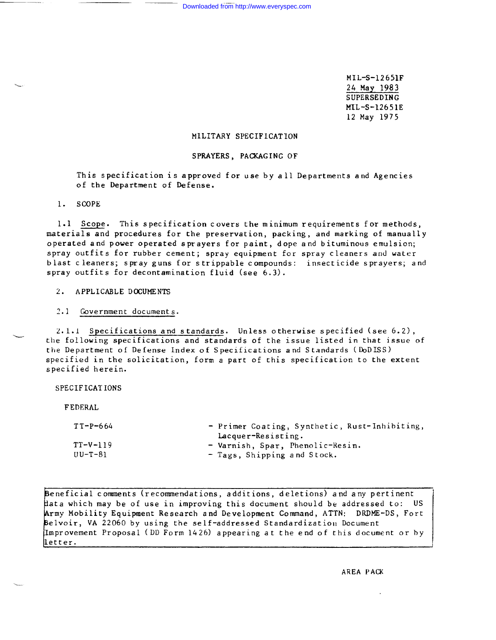MIL-S-12651F 24 May 1983 SUPERSEDING MIL-S-12651E 12 May 1975

# MILITARY SPECIFICATION

# SPRAYERS, PACKAGING OF

This specification is approved for use by all Departments and Agencies of the Department of Defense.

1. SCOPE

1.1 Scope. This specification covers the minimum requirements for methods, materials and procedures for the preservation, packing, and marking of manually operated and power operated sprayers for paint, dope and bituminous emulsion; spray outfits for rubber cement; spray equipment for spray cleaners and water blast cleaners; spray guns for strippable compounds: insecticide sprayers; and spray outfits for decontamination fluid (see 6.3).

2. APPLICABLE DOCUMENTS

2.1 Government documents.

2.1.1 Specifications and standards. Unless otherwise specified (see 6.2), the following specifications and standards of the issue listed in that issue of the Department of Defense Index of Specifications and Standards (DoDISS) specified in the solicitation, form a part of this specification to the extent specified herein.

SPECIFICATIONS

FEDERAL

 $\ddot{\phantom{0}}$ 

.—

| $TT - P - 664$ | - Primer Coating, Synthetic, Rust-Inhibiting, |
|----------------|-----------------------------------------------|
|                | Lacquer-Resisting.                            |
| $TT-V-119$     | - Varnish, Spar, Phenolic-Resin.              |
| UU-T-81        | - Tags, Shipping and Stock.                   |

Beneficial comments (recommendations, additions, deletions) and any pertinent data which may be of use in improving this document should be addressed to:<br>Army Mobility Equipment Research and Development Command, ATTN: DRDM ata which may be of use in improving this document should be addressed to: US Army Mobility Equipment Research and Development Command, ATTN: DRDME-DS, Fort Belvoir, VA 22060 by using the self-addressed Standardization Document Improvement Proposal (DD Form 1426) appearing at the end of this document or by lletter.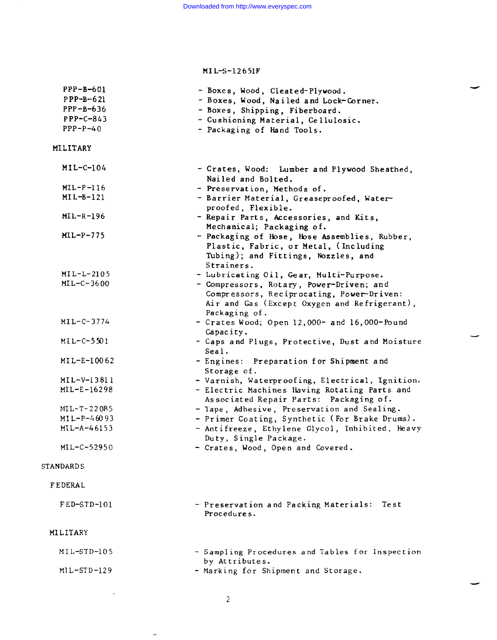| $PPP-B-601$<br>$PPP-B-621$<br>$PPP-B-636$<br>$PPP-C-843$<br>$PPP-P-40$ | - Boxes, Wood, Cleated-Plywood.<br>- Boxes, Wood, Nailed and Lock-Corner.<br>- Boxes, Shipping, Fiberboard.<br>- Cushioning Material, Cellulosic.<br>- Packaging of Hand Tools. |
|------------------------------------------------------------------------|---------------------------------------------------------------------------------------------------------------------------------------------------------------------------------|
| MILITARY                                                               |                                                                                                                                                                                 |
| $MIL-C-104$                                                            | - Crates, Wood: Lumber and Plywood Sheathed,                                                                                                                                    |
|                                                                        | Nailed and Bolted.                                                                                                                                                              |
| $ML-P-116$                                                             | - Preservation, Methods of.                                                                                                                                                     |
| $MIL-B-121$                                                            | - Barrier Material, Greaseproofed, Water-<br>proofed, Flexible.                                                                                                                 |
| $ML-R-196$                                                             | - Repair Parts, Accessories, and Kits,<br>Mechanical; Packaging of.                                                                                                             |
| $MIL-P-775$                                                            | - Packaging of Hose, Hose Assemblies, Rubber,<br>Plastic, Fabric, or Metal, (Including<br>Tubing); and Fittings, Nozzles, and<br>Strainers.                                     |
| $MIL-L-2105$                                                           | - Lubricating Oil, Gear, Multi-Purpose.                                                                                                                                         |
| $ML-C-3600$                                                            | - Compressors, Rotary, Power-Driven; and<br>Compressors, Reciprocating, Power-Driven:<br>Air and Gas (Except Oxygen and Refrigerant),<br>Packaging of.                          |
| $MIL-C-3774$                                                           | - Crates Wood; Open 12,000- and 16,000-Pound<br>Capacity.                                                                                                                       |
| $MIL-C-5501$                                                           | - Caps and Plugs, Protective, Dust and Moisture<br>Seal.                                                                                                                        |
| MIL-E-10062                                                            | - Engines: Preparation for Shipment and<br>Storage of.                                                                                                                          |
| $MIL-V-13811$                                                          | - Varnish, Waterproofing, Electrical, Ignition.                                                                                                                                 |
| $MIL-E-16298$                                                          | - Electric Machines Having Rotating Parts and<br>Associated Repair Parts: Packaging of.                                                                                         |
| $ML-T-22085$                                                           | - Tape, Adhesive, Preservation and Sealing.                                                                                                                                     |
| $MIL-P-46093$                                                          | - Primer Coating, Synthetic (For Brake Drums).                                                                                                                                  |
| $MIL-A-46153$                                                          | - Antifreeze, Ethylene Glycol, Inhibited, Heavy<br>Duty, Single Package.                                                                                                        |
| MIL-C-52950                                                            | - Crates, Wood, Open and Covered.                                                                                                                                               |
| <b>STANDARDS</b>                                                       |                                                                                                                                                                                 |
| FEDERAL                                                                |                                                                                                                                                                                 |
| $FED-STD-101$                                                          | - Preservation and Packing Materials:<br>Test<br>Procedures.                                                                                                                    |
| MILITARY                                                               |                                                                                                                                                                                 |
| $MIL-STD-105$                                                          | - Sampling Procedures and Tables for Inspection<br>by Attributes.                                                                                                               |
| $MIL-TSTD-129$                                                         | - Marking for Shipment and Storage.                                                                                                                                             |

 $\sim$ 

 $\sim$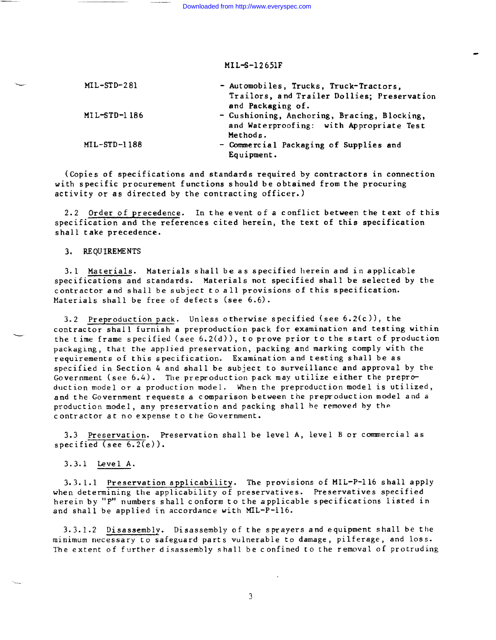Downloaded from http://www.everyspec.com

# MIL-S-12651F

| ست | $ML-STD-281$   | - Automobiles, Trucks, Truck-Tractors,      |
|----|----------------|---------------------------------------------|
|    |                | Trailors, and Trailer Dollies; Preservation |
|    |                | and Packaging of.                           |
|    | $MIL-STD-1186$ | - Cushioning, Anchoring, Bracing, Blocking, |
|    |                | and Waterproofing: with Appropriate Test    |
|    |                | Methods.                                    |
|    | MIL-STD-1188   | - Commercial Packaging of Supplies and      |
|    |                | Equipment.                                  |
|    |                |                                             |

(Copies of specifications and standards required by contractors in connection with specific procurement functions should be obtained from the procuring activity or as directed by the contracting officer.)

2.2 Order of precedence. In the event of a conflict between the text of this specification and the references cited herein, the text of this specification shall take precedence.

3. REQUIREMENTS

 $\overline{\phantom{0}}$ 

3.1 Materials. Materials shall be as specified herein and in applicable specifications and standards. Materials not specified shall be selected by the contractor and shall be subject to all provisions of this specification. Materials shall be free of defects (see 6.6).

3.2 Preproduction pack. Unless otherwise specified (see 6.2(c)), the contractor shall furnish a preproduction pack for examination and testing within the time frame specified (see  $6.2(d)$ ), to prove prior to the start of production packaging, that the applied preservation, packing and marking comply with the requirements of this specification. Examination and testing shall be as specified in Section 4 and shall be subject to surveillance and approval by the Government (see 6.4). The preproduction pack may utilize either the preproduction model or a production model. When the preproduction model is utilized, and the Government requests a comparison between the preproduction model and a production model, any preservation and packing shall be removed by the contractor at no expense to the Government.

3.3 Preservation. Preservation shall be level A, level B or commercial as specified (see 6.2(e)).

3.3.1 Level A.

3.3.1.1 Preservation applicability. The provisions of MIL-P-116 shall apply when determining the applicability of preservatives. Preservatives specified herein by "P" numbers shall conform to the applicable specifications listed in and shall be applied in accordance with MIL-P-116.

3.3.1.2 Disassembly. Disassembly of the sprayers and equipment shall be the minimum necessary to safeguard parts vulnerable to damage, pilferage, and 10SS. The extent of further disassembly shall be confined to the removal of protruding

 $\mathfrak{Z}$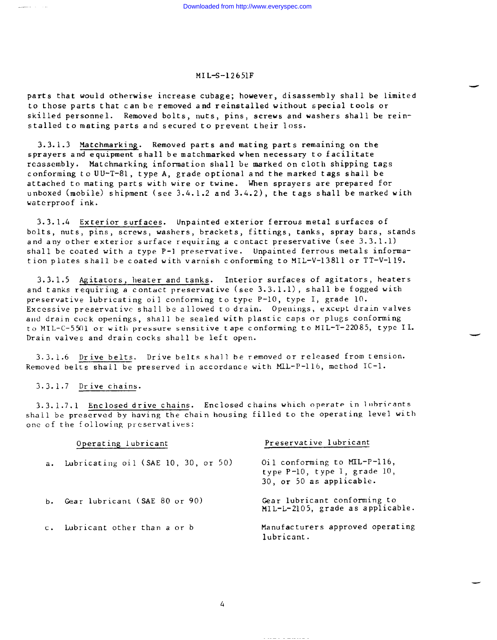parts that would otherwise increase cubage; however, disassembly shall be limited to those parts that can be removed and reinstalled without special tools or skilled personnel. Removed bolts, nuts, pins, screws and washers shall be reinstalled to mating parts and secured to prevent their loss.

 $3.3.1.3$  Matchmarking. Removed parts and mating parts remaining on the sprayers and equipment shall be matchmarked when necessary to facilitate reassembly. Matchmarking information shall be marked on cloth shipping tags conforming to UU-T-81, type A, grade optional and the marked tags shall be attached to mating parts with wire or twine. When sprayers are prepared for unboxed (mobile) shipment (see 3.4.1.2 and 3.4.2), the tags shall be marked with waterproof ink.

3.3.1.4 Exterior surfaces. Unpainted exterior ferrous metal surfaces of bolts, nuts, pins, screws, washers, brackets, fittings, tanks, spray bars, stands and any other exterior surface requiring a contact preservative (see 3.3.1.1) shall be coated with a type P-1 preservative. Unpainted ferrous metals information plates shall be coated with varnish conforming to MIL-V-13811 or TT–V-119.

3.3.1.5 Agitators, heater and tanks. Interior surfaces of agitators, heaters and tanks requiring a contact preservative (see 3.3.1.1), shall be fogged with preservative lubricating oil conforming to type P-10, type I, grade 10. Excessive preservative shall be allowed to drain. Openings, except drain valves and drain cock openings, shall be sealed with plastic caps or plugs conforming to MIL-C-5501 or with pressure sensitive tape conforming to MIL-T-22085, type IL. Drain valves and drain cocks shall be left open.

3.3.1.6 Drive belts. Drive belts shall be removed or released from tension. Removed belts shall be preserved in accordance with MIL-P-116, method IC-1.

## 3.3.1.7 Drive chains.

3.3.1.7.1 Enclosed drive chains. Enclosed chains which operate in lubricants shall be preserved by having the chain housing filled to the operating level with one of the following preservatives:

|               | Operating lubricant                 | Preservative lubricant                                                                      |
|---------------|-------------------------------------|---------------------------------------------------------------------------------------------|
| $a_{\bullet}$ | Lubricating oil (SAE 10, 30, or 50) | Oil conforming to MIL-P-116,<br>type P-10, type I, grade 10,<br>$30$ , or 50 as applicable. |
|               | b. Gear lubricant (SAE 80 or 90)    | Gear lubricant conforming to<br>MIL-L-2105, grade as applicable.                            |
| $C_{\bullet}$ | Lubricant other than a or b         | Manufacturers approved operating<br>lubricant.                                              |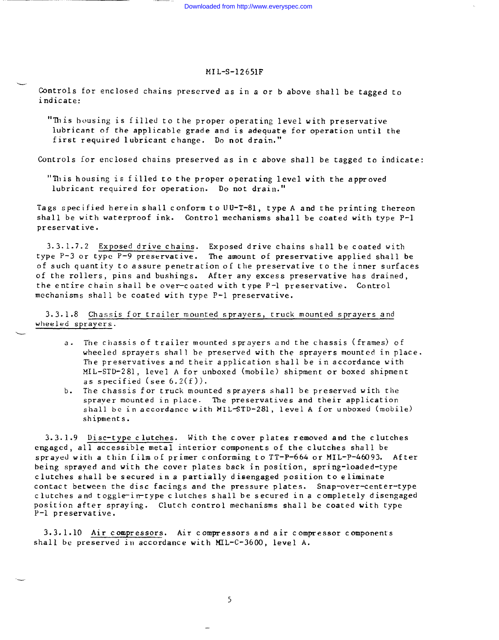Controls for enclosed chains preserved as in a or b above shall be tagged to indicate:

.—

-

-

-—

"This housing is filled to the proper operating level with preservative lubricant of the applicable grade and is adequate for operation until the first required lubricant change. Do not drain,"

Controls for enclosed chains preserved as in c above shall be tagged to indicate:

"This housing is filled to the proper operating level with the approved lubricant required for operation. Do not drain."

Tags specified herein shall conform to UU-T-81, type A and the printing thereon shall be with waterproof ink. Control mechanisms shall be coated with type P-1 preservative.

3.3. 1.7.2 Exposed drive chains. Exposed drive chains shall be coated with type P-3 or type P-9 preservative. The amount of preservative applied shall be of such quantity to assure penetration of Lhe preservative to the inner surfaces of the rollers, pins and bushings. After any excess preservative has drained, the entire chain shall be over-coated with type P-1 preservative. Control mechanisms shall be coated with type P-1 preservative.

3.3.1.8 Chassis for trailer mounted sprayers, truck mounted sprayers and wheeled sprayers.

- a. The chassis of trailer mounted sprayers and the chassis (frames) of wheeled sprayers shall be preserved with the sprayers mounted in place. The preservatives and their application shall be in accordance with MIL-STD-281, level A for unboxed (mobile) shipment or boxed shipment as specified (see  $6.2(f)$ ).
- b. The chassis for truck mounted sprayers shall be preserved with the sprayer mounted in place. The preservatives and their application shall be in accordance with MIL-STD-281, level A for unboxed (mobile) shipments.

 $3.3.1.9$  Disc-type clutches. With the cover plates removed and the clutches engaged, all accessible metal interior components of the clutches shall be sprayed with a thin film of primer conforming to TT-P-664 or MIL-P-46093. After being sprayed and with the cover plates back in position, spring-loaded-type clutches shall be secured in a partially disengaged position to eliminate contact between the disc facings and the pressure plates. Snap-over-center-type clutches and toggle-in-type clutches shall be secured in a completely disengaged position after spraying. Clutch control mechanisms shall be coated with type P-1 preservative.

3.3.1.10 Air compressors. Air compressors and air compressor components shall be preserved in accordance with MIL-C-3600, level A.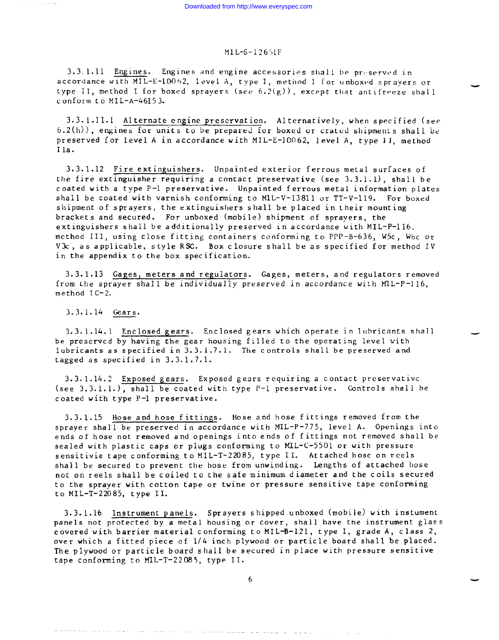3.3.1.11 Engines. Engines and engine accessories shall be preserved in accordance with MIL-E-10062, level A, type I, method I for unboxed sprayers or type II, method I for boxed sprayers (see  $6.2(g)$ ), except that antifreeze shall conform to MIL-A-46153.

3.3. 1.11.1 Alternate engine preservation. Alternatively, when specified (see  $6.2(h)$ ), engines for units to be prepared for boxed or crated shipments shall be preserved for level A in accordance with MIL-E-1OO62, level A, type 11, method Ila.

3.3.1.12 Fire extinguishers. Unpainted exterior ferrous metal surfaces of the fire extinguisher requiring a contact preservative (see 3.3.1.1), shall be coated with a type P-1 preservative. Unpainted ferrous metal information plates shall be coated with varnish conforming to MIL-V-13811 or TT-V-119. For boxed shipment of sprayers, the extinguishers shall be placed in their mounting brackets and secured. For unboxed (mobile) shipment of sprayers, the extinguishers shall be additionally preserved in accordance with MIL-P-116, method III, using close fitting containers conforming to PPP-B-636, W5C, W6C or V3c, as applicable, style RSC. Box closure shall be as specified for method IV in the appendix to the box specification.

3.3.1.13 Gages, meters and regulators. Gages, meters, and regulators removed from the sprayer shall be individually preserved in accordance with  $MIL-P-116$ , method IC-2.

3.3.1.14 Gears.

3.3.1.14.1 Enclosed gears. Enclosed gears which operate in lubricants shall be preserved by having the gear housing filled to the operating level with lubricants as specified in 3.3.1.7.1. The controls shall be preserved and tagged as specified in 3.3.1.7.1.

3.3. 1.14.2 Exposed gears. Exposed gears requiring a contact preservative (see 3.3.1.1.), shall be coated with type P-1 preservative. Controls shall be coated with type P-1 preservative.

3.3.1.15 Hose and hose fittings. Hose and hose fittings removed from the sprayer shall be preserved in accordance with MIL-P-775, level A. Openings into ends of hose not removed and openings into ends of fittings not removed shall be sealed with plastic caps or plugs conforming to MIL-C-5501 or with pressure sensitivie tape conforming to MIL-T-22085, type II. Attached hose on reels shall be secured to prevent the hose from unwinding. Lengths of attached hose not on reels shall be coiled to the safe minimum diameter and the coils secured to the sprayer with cotton tape or twine or pressure sensitive tape conforming to MIL-T-22085, type II.

3.3.1.16 Instrument panels. Sprayers shipped unboxed (mobile) with instument panels not protected by a metal housing or cover, shall have the instrument glass covered with barrier material conforming to MIL-8-L21, type I, grade A, class 2, over which a fitted piece of 1/4 inch plywood or particle board shall be placed. The plywood or particle board shall be secured in place with pressure sensitive tape conforming to MIL-T-22085, type II.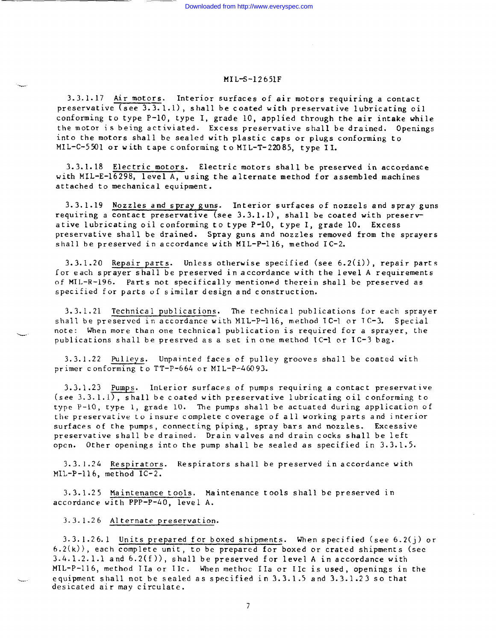3.3.1.17 Air motors. Interior surfaces of air motors requiring a contact preservative  $(see 3.3.1.1)$ , shall be coated with preservative lubricating oil conforming to type P-10, type I, grade 10, applied through the air intake while the motor is being activiated. Excess preservative shall be drained. Openings into the motors shall be sealed with plastic caps or plugs conforming to MIL-C-5501 or with tape conforming to MIL-T-22085, type 11.

3.3.1.18 Electric motors. Electric motors shall be preserved in accordance with MIL- $E-16298$ , level A, using the alternate method for assembled machines attached to mechanical equipment.

3.3.1.19 Nozzles and spray guns. Interior surfaces of nozzels and spray guns requiring a contact preservative (see 3.3.1.1), shall be coated with preservative lubricating oil conforming to type P-10, type I, grade 10. Excess preservative shall be drained. Spray guns and nozzles removed from the sprayers shall be preserved in accordance with MIL-P-116, method IC-2.

3.3.1.20 Repair parts. Unless otherwise specified (see 6.2(i)), repair parts for each sprayer shall be preserved in accordance with the level A requirements of MIL-R-196. Parts not specifically mentioned therein shall be preserved as specified for parts of similar design and construction.

3.3.1.21 Technical publications. The technical publications for each sprayer shall be preserved in accordance with MIL-P-116, method IC-1 or IC-3. Special mote: When more than one technical publication is required for a sprayer, the publications shall be presrved as a set in one method IC-l or IC-3 bag.

3.3.1.22 pulieys. Unpainted faces of pulley grooves shall be coated with primer conforming to TT-P-664 or MIL-P-46093.

3.3.1.23 Pumps. lnLerior surfaces of pumps requiring a contact preservative (see 3.3.1.1), shall be coated with preservative lubricating oil conforming to type P-10, type 1, grade 10. The pumps shall be actuated during application of the preservative to insure complete coverage of all working parts and interior surfaces of the pumps, connecting piping, spray bars and nozzles. Excessive preservative shall be drained. Drain valves and drain cocks shall be left open. Other openings into the pump shall be sealed as specified in 3.3.1.5.

3.3.1.24 Respirators. Respirators shall be preserved in accordance with MIL-P-116, method IC-2.

3.3.1.25 Maintenance tools. Maintenance tools shall be preserved in accordance with PPP-P-40, level A.

3.3.1.26 Alternate preservation.

L

3.3. 1.26.1 Units prepared for boxed shipments. When specified (see 6.2(j) or 6.2(k)), each complete unit, to be prepared for boxed or crated shipments (see 3.4. 1.2.1.1 and 6.2(f)), shall be preserved for level A in accordance with MIL-P-116, method IIa or IIc. When methoc IIa or IIc is used, openings in the equipment shall not be sealed as specified in 3.3.1.5 and 3.3.1.23 so that desicated air may circulate.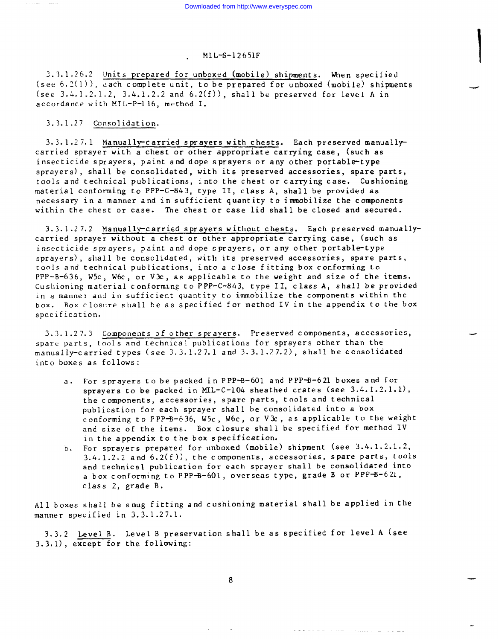\_.

# . MI L-S-12651F

2 .3.1.26.2 Units prepared for unboxed (mobile) shipments. When specified (see  $6.2(1)$ ), each complete unit, to be prepared for unboxed (mobile) shipments (see  $3.4.1.2.1.2$ ,  $3.4.1.2.2$  and  $6.2(f)$ ), shall be preserved for level A in accordance with MIL-P-116, method 1.

3.3.1.27 Consolidation.

 $3.3.1.27.1$  Manually-carried sprayers with chests. Each preserved manuallycarried sprayer with a chest or other appropriate carrying case, (such as insecticide sprayers, paint and dope sprayers or any other portable-type sprayers) , shall be consolidated, with its preserved accessories, spare parts, tools and technical publications, into the chest or carrying case. Cushioning material conforming to PPP-C-843, type 11, class A, shall be provided as necessary in a manner and in sufficient quantity to immobilize the components within the chest or case. The chest or case lid shall be closed and secured.

3.3.1.27.2 Manually-carried sprayers without chests. Each preserved manuallycarried sprayer without a chest or other appropriate carrying case, (such as insecticide sprayers, paint and dope sprayers, or any other portable-type sprayers) , shall be consolidated, with its preserved accessories, spare parts, tools and technical publications, into a close fitting box conforming to PPP-B-636, W5C, W&, or V3c, as applicable to the weight and size of the items. Cushioning material conforming to PPP-C-843, type II, class A, shall be provided in a manner and in sufficient quantity to immobilize the components within the box. Box closure shall be as specified for method IV in the appendix to the box specification.

3.3. 1.27.3 Components of other sprayers. Preserved components, accessories, spare parts, tools and technical publications for sprayers other than the manually-carried types (see 1. J.l.27. l and 3.3.1.27.2), shall be consolidated into boxes as follows:

- a. For sprayers to be packed in PPP-B-601 and PPP-B-621 boxes and for sprayers to be packed in MIL-C-104 sheathed crates (see 3.4.1.2.1.1), the components, accessories, spare parts, tools and technical publication for each sprayer shall be consolidated into a box conforming to PPP-B-636, W5c, W6c, or V  $x$ , as applicable to the weight and size of the items. Box closure shall be specified for method IV in the appendix to the box specification.
- b. For sprayers prepared for unboxed (mobile) shipment (see 3.4.1.2.1.2,  $3.4.1.2.2$  and  $6.2(f)$ ), the components, accessories, spare parts, tools and technical publication for each sprayer shall be consolidated into a box conforming to PPP-8-601, overseas type, grade B or PPP-B-621, class 2, grade B.

All boxes shall be snug fitting and cushioning material shall be applied in the manner specified in 3.3.1.27.1.

3.3.2 Level B. Level B preservation shall be as specified for level A (see 3.3.1), except for the following:

 $\label{eq:2} \begin{split} \mathcal{L}_{\mathcal{A}}(\mathcal{A})=\mathcal{L}_{\mathcal{A}}(\mathcal{A})=\mathcal{L}_{\mathcal{A}}(\mathcal{A})\mathcal{A}(\mathcal{A})=\mathcal{L}_{\mathcal{A}}(\mathcal{A})\mathcal{A}(\mathcal{A})\mathcal{A}(\mathcal{A})\mathcal{A}(\mathcal{A})\mathcal{A}(\mathcal{A})\mathcal{A}(\mathcal{A})\mathcal{A}(\mathcal{A})\mathcal{A}(\mathcal{A})\mathcal{A}(\mathcal{A})\mathcal{A}(\mathcal{A})\mathcal{A}(\mathcal{A})\mathcal{$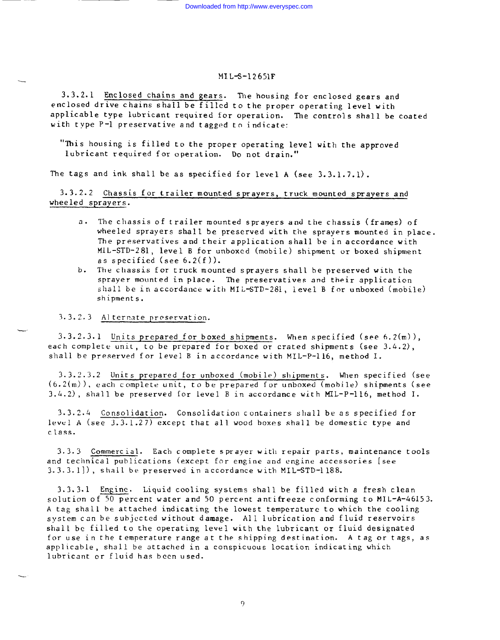3.3.2.1 Enclosed chains and gears. The housing for enclosed gears and enclosed drive chains shall be filled to the proper operating level with applicable type lubricant required for operation. The controls shall be coated with type P-1 preservative and tagged to indicate:

"This housing is filled to the proper operating level with the approved lubricant required for operation. Do not drain,"

The tags and ink shall be as specified for level A (see 3.3.1.7.1).

3.3.2.2 Chassis for trailer mounted sprayers, truck mounted sprayers and wheeled sprayers.

- a. The chassis of trailer mounted sprayers and the chassis (frames) of wheeled sprayers shall be preserved with the sprayers mounted in place. The preservatives and their application shall be in accordance with MIL-STD-281, level B for unboxed (mobile) shipment or boxed shipment as specified (see  $6.2(f)$ ).
- b. The chassis for truck mounted sprayers shall be preserved with the sprayer mounted in place. The preservatives and their application shall be in accordance with MIL-STD-281, level B for unboxed (mobile) shipments.

3.3.2.3 Alternate preservation.

 $3.3.2.3.1$  Units prepared for boxed shipments. When specified (see 6.2 $(m)$ ), each complete unit, to be prepared for boxed or crated shipments (see 3.4.2), shall be preserved for level B in accordance with MIL-P-116, method I.

3. 3.2.3.2 Units prepared for unboxed (mobil~) shipment s. When specified (see  $(6.2(m))$ , each complete unit, to be prepared for unboxed (mobile) shipments (see 3.4.2), shall be preserved for level B in accordance with MIL-P-116, method I.

3.3.2.4 Consolidation. Consolidation containers shall be as specified for level A (see 3.3.1.27) except that all wood boxes shall be domestic type and class.

3.3.3 Commercial. Each complete sprayer with repair parts, maintenance tools and technical publications (except for engine and engine accessories [see 3.3.3.1]), shall be preserved in accordance with MIL-STD-1188.

3.3.3.1 Engine. Liquid cooling systems shall be filled with a fresh clean solution of 50 percent water and 50 percent antifreeze conforming to MIL-A-46153. A tag shall be attached indicating the lowest temperature to which the cooling system can be subjected without damage. All lubrication and fluid reservoirs shall be filled to the operating level with the lubricant or fluid designated for use in the temperature range at the shipping destination. A tag or tags, as applicable , shall be attached in a conspicuous location indicating which lubricant or fluid has been used.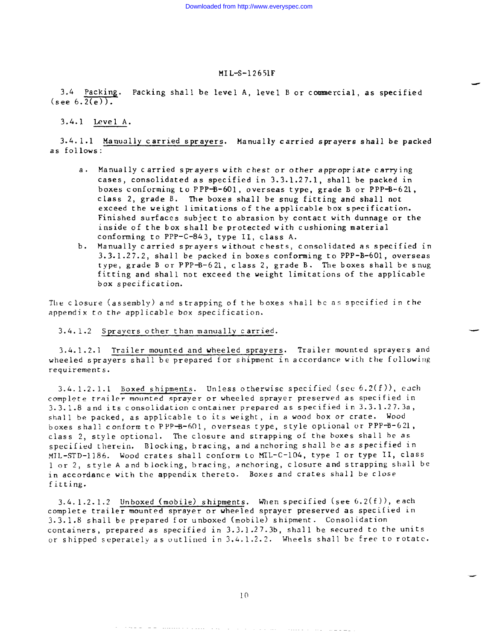d

-

3.4 Packing. Packing shall be level A, level B or commercial, as specified  $(\text{see } 6.\overline{2(e)}).$ 

# 3.4.1 Level A.

3.4. 1.1 Manually carried sprayers. Manually carried sprayers shall be packed as follows:

- a. Manually carried sprayers with chest or other appropriate carrying cases, consolidated as specified in 3.3.1.27.1, shall be packed in boxes conforming to PPP-B-601, overseas type, grade B or PPP-B-621, class 2, grade B. The boxes shall be snug fitting and shall not exceed the weight limitations of the applicable box specification. Finished surfaces subject to abrasion by contact with dunnage or the inside of the box shall be protected with cushioning material conforming to PPP-C-843, type II, class A.
- b. Manually carried sprayers without chests, consolidated as specified in 3.3.1.27.2, shall be packed in boxes conforming to PPP-B-601, overseas type, grade B or PPP-B-621, class 2, grade B. The boxes shall be snug fitting and shall not exceed the weight limitations of the applicable box specification.

The closure (assembly) and strapping of the boxes shall be as specified in the appendix to the applicable box specification.

# 3.4.1.2 Sprayers other than manually carried.

3.4. 1.2.1 Trailer mounted and wheeled spravers. Trailer mounted sprayers and wheeled sprayers shall be prepared for shipment in accordance with the following requirements.

 $3.4.1.2.1.1$  Boxed shipments. Unless otherwise specified (see 6.2(f)), each complete trailer mounted sprayer or wheeled sprayer preserved as specified in 3.3\_.l.8 and its consolidation container prepared as specified in 3.3. l.27. 3a, shall be packed, as applicable to its weight, in a wood box or crate. Wood boxes shall conform to PPP-B-601, overseas type, style optional or PPP-B-621, class 2, style optional. The closure and strapping of the boxes shall be as specified therein. Blocking, bracing, and anchoring shell be as specified in MiL-sTD-1186. Wood crates shall conform LO MIL-C-104, type I or type 11, class 1 or 2, style A and blocking, bracing, anchoring, closure and strapping shall be in accordance with the appendix thereto. Boxes and crates shall be close fitting.

 $3.4.1.2.1.2$  Unboxed (mobile) shipments. When specified (see  $6.2(f)$ ), each complete trailer mounted sprayer or wheeled sprayer preserved as specified in 3.3.1.8 shall be prepared for unboxed (mobile) shipment. Consolidation containers, prepared as specified in 3.3.1.27.3b, shall be secured to the units or shipped seperately as outlined in  $3.4.1.2.2$ . Wheels shall be free to rotate.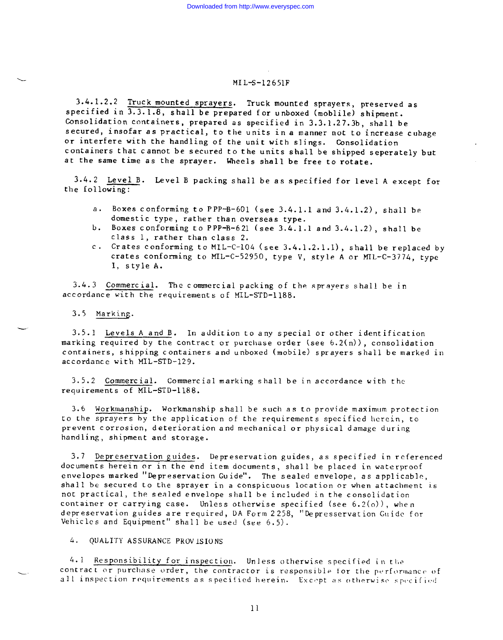3.4. 1.2.2 Truck mounted sprayers. Truck mounted sprayers, preserved as specified in  $\overline{3.3.1.8}$ , shall be prepared for unboxed (moblile) shipment. Consolidation containers, prepared as specified in 3.3.1.27.3b, shall be secured, insofar as practical, to the units in a manner not to increase cubage or interfere with the handling of the unit with slings. Consolidation containers that cannot be secured to the units shall be shipped separately but at the same time as the sprayer. Wheels shall be free to rotate.

3.4.2 Level B. Level B packing shall be as specified for level A except for the iollowing:

- a. Boxes conforming to PPP-B-601 (see 3.4.1.1 and  $3.4.1.2$ ), shall be domestic type, rather than overseas type.
- b. Boxes conforming to PPP-B-621 (see 3.4.1.1 and 3.4.1.2), shall be class 1, rather than class 2.
- c. Crates conforming to MLL-C-104 (see 3.4.1.2.1.1), shall be replaced by crates conforming to MIL-C-52950, type V, style A or MTL-C-3774, type I, style A.

3.4.3 Commercial. The commercial packing of the sprayers shall be in accordance with the requirements of MIL-STD-1188.

3.5 Marking.

-.

3.5.1 Levels A and B. In addition to any special or other identification marking required by the contract or purchase order (see 6.2(n)), consolidation containers, shipping containers and unboxed (mobile) sprayers shall be marked in accordance with MIL-STD-129.

3.5.2 Commercial. Commercial marking shall be in accordance with the requirements of MIL-STD-1188.

3.6 Workmanship. Workmanship shall be such as to provide maximum protection to the sprayers by the application of the requirements specified herein, to prevent corrosion, deterioration and mechanical or physical damage during handling, shipment and storage.

3.7 Depreservation guides. Depreservation guides, as specified in referenced documents herein or in the end item documents, shall be placed in waterproof envelopes marked "Depreservation Guide". The sealed envelope, as applicable, shall be secured to the sprayer in a conspicuous location or when attachment is not practical, the sealed envelope shall be included in the consolidation container or carrying case. Unless otherwise specified (see  $6.2(o)$ ), when depreservation guides are required, DA Form 2258, "Depresservation G\lidc for Vehicles and Equipment" shall be used (see  $6.5$ ).

4. QUALITY ASSURANCE PROVISIONS

 $4.1$  Responsibility for inspection. Unless otherwise specified in the contract or purchase order, the contractor is responsible for the performance of all inspection requirements as specified herein. Except as otherwise specified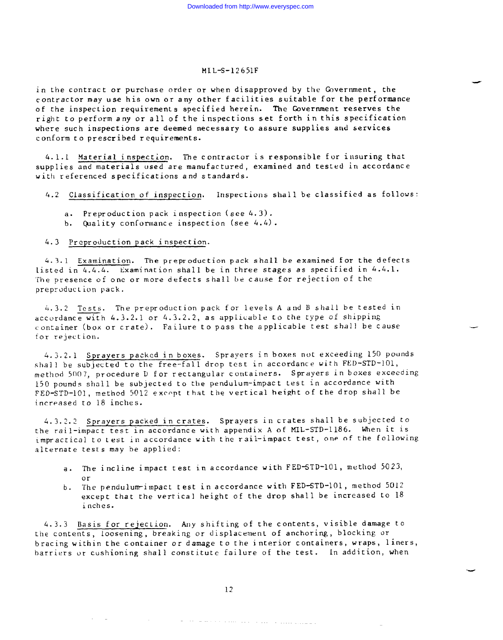in the contract or purchase order or when disapproved by the Government, the contractor may use his own or any other facilities suitable for the performance of the inspection requirements specified herein. The Government reserves the right to perform any or all of the inspections set forth in this specification where such inspections are deemed necessary to assure supplies and services conform to prescribed requirements.

4. 1.1 Material inspection. The contractor is responsible for insuring that supplies and materials used are manufactured, examined and tested in accordance with referenced specifications and standards.

4.2 Classification of inspection. Inspections shall be classified as follows

- a. Preproduction pack inspection (see 4.3).
- b. Quality conformance inspection (see 4.4).

# 4.3 Preproduction pack inspection.

4.3.1 Examination. The preproduction pack shall be examined for the defects listed in  $4.4.4.$  Examination shall be in three stages as specified in  $4.4.1.$ The presence of one or more defects shall be cause for rejection of the preproduction pack.

4.3.2 Tests. The preproduction pack for levels A and B shall be tested in accordance with  $4.3.2.1$  or  $4.3.2.2$ , as applicable to the type of shipping container (box or crate). Failure to pass the applicable test shall be cause for rejection.

4.3.2.1 Sprayers packed in boxes. Sprayers in boxes nut exceeding 150 pounds shall be subjected to the free-fall drop test in accordance with FED-STD-101, method 5007, procedure D for rectangular containers. Sprayers in boxes exceeding 150 pounds shall be subjected to the pendulum-impact test in accordance with FED-STD-101, method 5012 except that the vertical height of the drop shall be increased to 18 inches.

4.3.2.2 Sprayers packed in crates. Sprayers in crates shall be subjected to the rail-impact test in accordance with appendix A of MIL-STD-1186. When it is impractical to test in accordance with the rail-impact test, one of the following alternate tests may be applied:

- a. The incline impact test in accordance with FED-STD-101, method 5023, or
- b. The pendulum-impact test in accordance with FED-STD-101, method 5012 except that the vertical height of the drop shall be increased to 18 inches.

4.3.3 Basis for rejection. Any shifting of the contents, visible damage to the contents, loosening, breaking or displacement of anchoring, blocking or bracing within the container or damage to the interior containers, wraps, liners, barriers or cushioning shall constitute failure of the test. In addition, when

, where  $\theta$  is the contract of the contract of the contract of the contract of the contract of the contract of the contract of the contract of the contract of the contract of the contract of the contract of the contract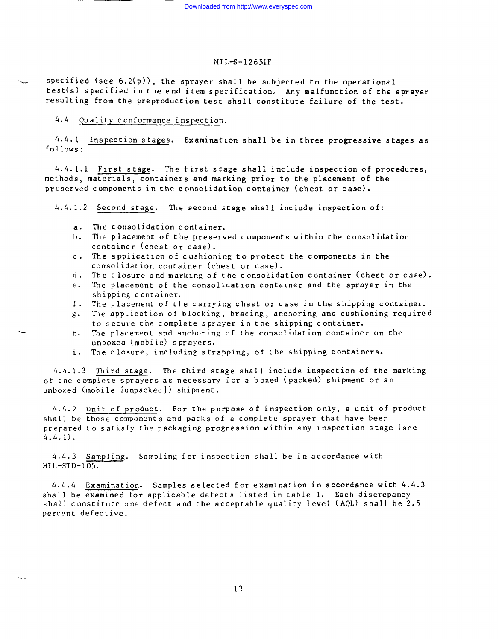specified (see  $6.2(p)$ ), the sprayer shall be subjected to the operational test(s) specified in the end item specification. Any malfunction of the sprayer resulting from the preproduction test shall constitute failure of the test.

# 4,4 Quality conformance inspection.

4.4.1 Inspection stages. Examination shall be in three progressive stages as follows:

4.4.1.1 First stage. The first stage shall include inspection of procedures, methods, materials, containers and marking prior to the placement of the preserved components in the consolidation container (chest or case).

4.4.1.2 Second stage. The second stage shall include inspection of:

a. The consolidation container.

 $\overline{\phantom{a}}$ 

- b. The placement of the preserved components within the consolidation container (chest or case).
- c. The application of cushioning to protect the components in the consolidation container (chest or case).
- d. The closure and marking of the consolidation container (chest or case).
- e. The placement of the consolidation container and the sprayer in the shipping container.
- f. The placement of the carrying chest or case in the shipping container.
- g. The application of blocking, bracing, anchoring and cushioning required to secure the complete sprayer in the shipping container.
- h. The placement and anchoring of the consolidation container on the unboxed (mobile) sprayers.
- i. The closure, including strapping, of the shipping containers.

4.4.1.3 Third stage. The third stage shall include inspection of the marking of the complete sprayers as necessary for a boxed (packed) shipment or an unboxed (mobile [unpacked]) shipment.

6.4.2 Unit of product. For the purpose of inspection only, a unit of product shall be those components and packs of a complete sprayer that have been prepared to satisfy the packaging progression within any inspection stage (see 4.4.1).

4.4.3 Sampling. Sampling for inspection shall be in accordance with  $MIL-STD-105$ 

4.4.4 Examination. Samples selected for examination in accordance with 4.4.3 shall be examined for applicable defects listed in table I. Each discrepancy shall constitute one defect and the acceptable quality level (AQL) shall be 2.5 percent defective.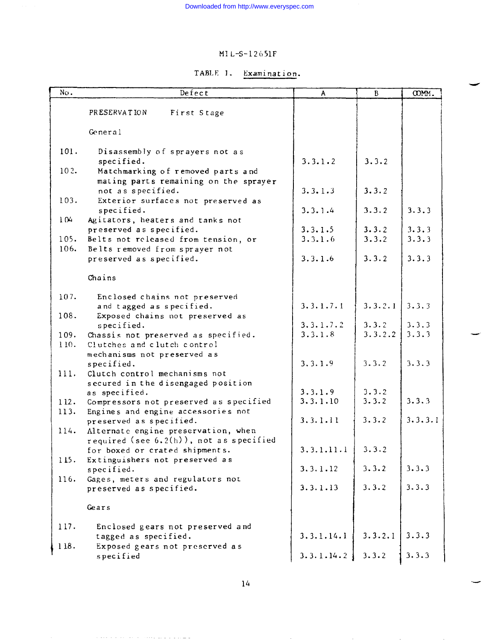| Examination. |
|--------------|
|--------------|

| No.          | Defect                                                                | A                   | B              | COMM.   |
|--------------|-----------------------------------------------------------------------|---------------------|----------------|---------|
|              | PRESERVATION<br>First Stage                                           |                     |                |         |
|              |                                                                       |                     |                |         |
|              | General                                                               |                     |                |         |
| 101.         | Disassembly of sprayers not as                                        |                     |                |         |
|              | specified.                                                            | 3.3.1.2             | 3.3.2          |         |
| 102.         | Matchmarking of removed parts and                                     |                     |                |         |
|              | mating parts remaining on the sprayer                                 |                     |                |         |
|              | not as specified.                                                     | 3.3.1.3             | 3.3.2          |         |
| 103.         | Exterior surfaces not preserved as                                    |                     |                |         |
|              | specified.                                                            | 3.3.1.4             | 3.3.2          | 3.3.3   |
| 104          | Agitators, heaters and tanks not                                      |                     |                |         |
|              | preserved as specified.                                               | 3.3.1.5             | 3.3.2          | 3.3.3   |
| 105.<br>106. | Belts not released from tension, or<br>Belts removed from sprayer not | 3.3.1.6             | 3.3.2          | 3.3.3   |
|              | preserved as specified.                                               | 3.3.1.6             | 3.3.2          | 3.3.3   |
|              |                                                                       |                     |                |         |
|              | Chains                                                                |                     |                |         |
| 107.         | Enclosed chains not preserved                                         |                     |                |         |
|              | and tagged as specified.                                              | 3.3.1.7.1           | 3.3.2.1        | 3.3.3   |
| 108.         | Exposed chains not preserved as                                       |                     |                |         |
|              | specified.                                                            | 3.3.1.7.2           | 3.3.2          | 3.3.3   |
| 109.         | Chassis not preserved as specified.                                   | 3.3.1.8             | 3.3.2.2        | 3.3.3   |
| 110.         | Clutches and clutch control                                           |                     |                |         |
|              | mechanisms not preserved as                                           |                     |                |         |
|              | specified.                                                            | 3.3.1.9             | 3.3.2          | 3.3.3   |
| 111.         | Clutch control mechanisms not                                         |                     |                |         |
|              | secured in the disengaged position                                    |                     |                |         |
|              | as specified.                                                         | 3.3.1.9<br>3.3.1.10 | 3.3.2<br>3.3.2 | 3.3.3   |
| 112.<br>113. | Compressors not preserved as specified                                |                     |                |         |
|              | Engines and engine accessories not<br>preserved as specified.         | 3.3.1.11            | 3.3.2          | 3.3.3.1 |
| 114.         | Alternate engine preservation, when                                   |                     |                |         |
|              | required (see $6.2(h)$ ), not as specified                            |                     |                |         |
|              | for boxed or crated shipments.                                        | 3.3.1.11.1          | 3.3.2          |         |
| 115.         | Extinguishers not preserved as                                        |                     |                |         |
|              | specified.                                                            | 3.3.1.12            | 3.3.2          | 3.3.3   |
| 116.         | Gages, meters and regulators not                                      |                     |                |         |
|              | preserved as specified.                                               | 3.3.1.13            | 3.3.2          | 3.3.3   |
|              | Gears                                                                 |                     |                |         |
|              |                                                                       |                     |                |         |
| 117.         | Enclosed gears not preserved and                                      |                     |                |         |
|              | tagged as specified.                                                  | 3.3.1.14.1          | 3.3.2.1        | 3.3.3   |
| 118.         | Exposed gears not preserved as                                        |                     |                |         |
|              | specified                                                             | 3.3.1.14.2          | 3.3.2          | 3.3.3   |

والمستحدث والمتعدد والمتعدد والمتحدث والمتحدث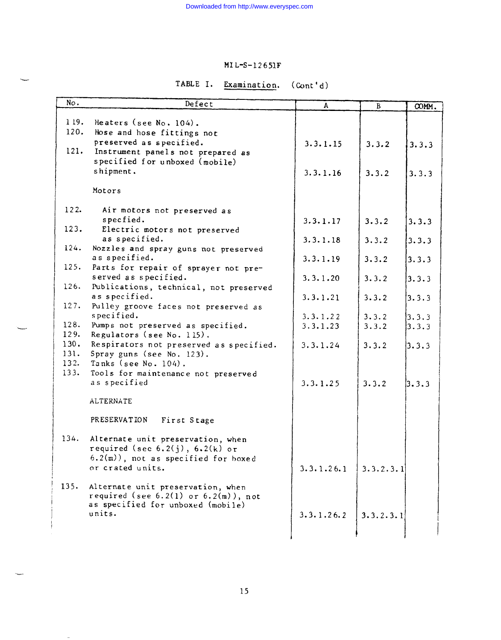# TABLE I. Examination. (Cont'd)

| No.          | Defect                                              | A          | $\, {\bf B}$ | COMM. |
|--------------|-----------------------------------------------------|------------|--------------|-------|
|              |                                                     |            |              |       |
| 119.         | Heaters (see $No. 104$ ).                           |            |              |       |
| 120.         | Hose and hose fittings not                          |            |              |       |
|              | preserved as specified.                             | 3.3.1.15   | 3.3.2        | 3.3.3 |
| 121.         | Instrument panels not prepared as                   |            |              |       |
|              | specified for unboxed (mobile)                      |            |              |       |
|              | shipment.                                           | 3.3.1.16   | 3.3.2        | 3.3.3 |
|              | Motors                                              |            |              |       |
|              |                                                     |            |              |       |
| 122.         | Air motors not preserved as                         |            |              |       |
|              | specfied.                                           | 3.3.1.17   | 3.3.2        | 3.3.3 |
| 123.         | Electric motors not preserved                       |            |              |       |
|              | as specified.                                       | 3.3.1.18   | 3.3.2        | 3.3.3 |
| 124.         | Nozzles and spray guns not preserved                |            |              |       |
|              | as specified.                                       | 3.3.1.19   | 3.3.2        | 3.3.3 |
| 125.         | Parts for repair of sprayer not pre-                |            |              |       |
|              | served as specified.                                | 3.3.1.20   | 3.3.2        | 3.3.3 |
| 126.         | Publications, technical, not preserved              |            |              |       |
|              | as specified.                                       | 3.3.1.21   | 3.3.2        | 3.3.3 |
| 127.         | Pulley groove faces not preserved as                |            |              |       |
|              | specified.                                          | 3.3.1.22   | 3.3.2        | 3.3.3 |
| 128.         | Pumps not preserved as specified.                   | 3.3.1.23   | 3.3.2        | 3.3.3 |
| 129.         | Regulators (see No. 115).                           |            |              |       |
| 130.         | Respirators not preserved as specified.             | 3.3.1.24   | 3.3.2        | 3.3.3 |
| 131.<br>132. | Spray guns (see No. 123).                           |            |              |       |
| 133.         | Tanks (see No. 104).                                |            |              |       |
|              | Tools for maintenance not preserved<br>as specified | 3.3.1.25   | 3.3.2        |       |
|              |                                                     |            |              | 3.3.3 |
|              | <b>ALTERNATE</b>                                    |            |              |       |
|              |                                                     |            |              |       |
|              | PRESERVATION<br>First Stage                         |            |              |       |
|              |                                                     |            |              |       |
| 134.         | Alternate unit preservation, when                   |            |              |       |
|              | required (see $6.2(j)$ , $6.2(k)$ or                |            |              |       |
|              | $6.2(m)$ ), not as specified for boxed              |            |              |       |
|              | or crated units.                                    | 3.3.1.26.1 | 3.3.2.3.1    |       |
|              |                                                     |            |              |       |
| 135.         | Alternate unit preservation, when                   |            |              |       |
|              | required (see $6.2(1)$ or $6.2(m)$ ), not           |            |              |       |
|              | as specified for unboxed (mobile)<br>units.         |            |              |       |
|              |                                                     | 3.3.1.26.2 | 3.3.2.3.1    |       |
|              |                                                     |            |              |       |
|              |                                                     |            |              |       |

15

--

 $\sim$   $-$ 

 $\overline{\phantom{m}}$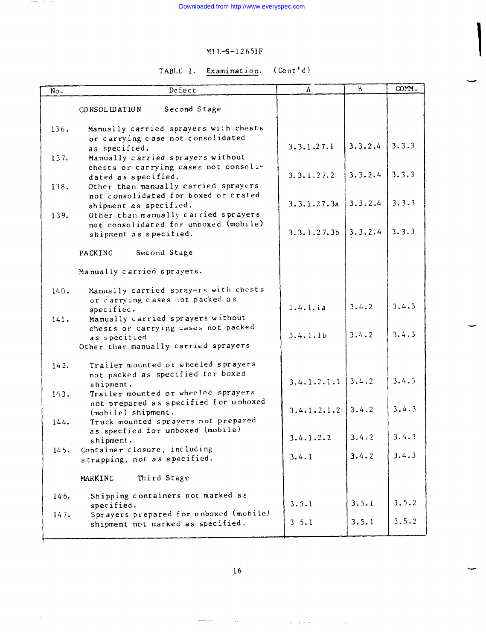$\rightarrow$   $\rightarrow$   $\rightarrow$ 

# MT 1.-S-I2651F

# TABLE I. Examination. (Cont'd)

| No.  | Defect                                                                                              | A                       | $\mathbf{B}$ | COMM. |
|------|-----------------------------------------------------------------------------------------------------|-------------------------|--------------|-------|
|      | Second Stage<br>CONSOLIDATION                                                                       |                         |              |       |
| 136. | Manually carried sprayers with chests<br>or carrying case not consolidated<br>as specified.         | 3.3.1.27.1              | 3.3.2.4      | 3.3.3 |
| 137. | Manually carried sprayers without<br>chests or carrying cases not consoli-                          | 3.3.1.27.2              | 3.3.2.4      | 3.3.3 |
| 138. | dated as specified.<br>Other than manually carried sprayers<br>not consolidated for boxed or crated |                         |              |       |
| 139. | shipment as specified.<br>Other than manually carried sprayers                                      | 3.3.1.27.3a             | 3.3.2.4      | 3.3.3 |
|      | not consolidated for unboxed (mobile)<br>shipment as specified.                                     | 3.3.1.27.3 <sub>b</sub> | 3.3.2.4      | 3.3.3 |
|      | Second Stage<br>PACKING                                                                             |                         |              |       |
|      | Manually carried sprayers.                                                                          |                         |              |       |
| 140. | Manually carried sprayers with chests<br>or carrying cases not packed as<br>specified.              | 3.4.1.1a                | 3.4.2        | 3.4.3 |
| 141. | Manually carried sprayers without<br>chests or carrying cases not packed                            | 3.4.1.1 <sub>b</sub>    | 3.4.2        | 3.4.3 |
|      | as specified<br>Other than manually carried sprayers                                                |                         |              |       |
| 142. | Trailer mounted or wheeled sprayers<br>not packed as specified for boxed                            |                         |              |       |
| 143. | shipment.<br>Trailer mounted or wheeled sprayers                                                    | 3.4.1.2.1.1             | 3.4.2        | 3.4.3 |
|      | not prepared as specified for unboxed<br>$(mobile)$ shipment.                                       | 3.4.1.2.1.2             | 3.4.2        | 3.4.3 |
| 144. | Truck mounted sprayers not prepared<br>as specfied for unboxed (mobile)<br>shipment.                | 3.4.1.2.2               | 3.4.2        | 3.4.3 |
| 145. | Container closure, including<br>strapping, not as specified.                                        | 3.4.1                   | 3.4.2        | 3.4.3 |
|      | Third Stage<br>MARKING                                                                              |                         |              |       |
| 146. | Shipping containers not marked as<br>specified.                                                     | 3.5.1                   | 3.5.1        | 3.5.2 |
| 147. | Sprayers prepared for unboxed (mobile)<br>shipment not marked as specified.                         | 3, 5.1                  | 3.5.1        | 3.5.2 |

 $\gamma$  ,  $\gamma$  ,  $\gamma$  ,  $\gamma$ 

 $\sim 10^7$ 

 $\sim$   $\sim$ 

 $\omega$  -  $\omega$  ,  $\omega$  ,  $\omega$  ,  $\omega$  ,  $\omega$  ,  $\omega$ 

-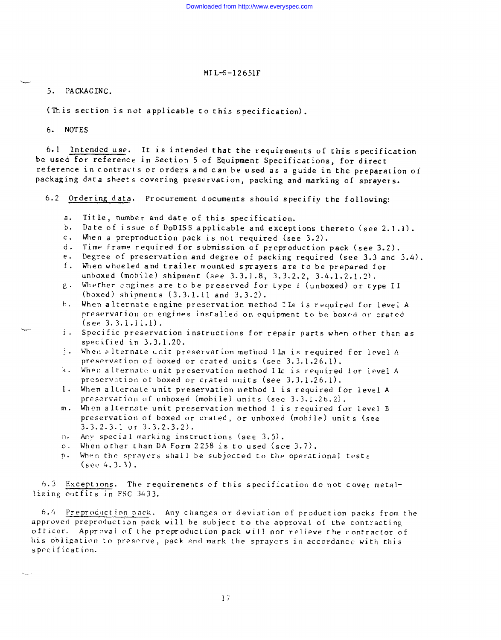5. PAGKAGING.

(This section is not applicable to this specification).

6. NoTES

6.1 Intended use. It is intended that the requirements of this specification be used for reference in Section 5 of Equipment Specifications, for direct reference in contracts or orders and can he used as a guide in the preparation oi packaging data sheets covering preservation, packing and marking of sprayers.

6.2 Ordering data. Procurement documents should specifiy the following:

- a. Title, number and date of this specification.
- b. Date of issue of DoDISS applicable and exceptions thereto (see 2.1.1).
- c. When a preproduction pack is not required (see 3.2).
- d. Time frame required for submission of preproduction pack (see 3.2).
- e. Degree of preservation and degree of packing required (see 3.3 and 3.4).
- f. When wheeled and trailer mounted sprayers are to be prepared for unboxed (mobile) shipment (see 3.3.1.8, 3.3.2.2, 3.4.I.2,1.2),
- g. Whether engines are to be preserved for Lype I (unboxed) or type II (boxed) shipments (3.3.1.11 and 3.3.2).
- h. When alternate engine preservation method IIa is required for level A preservation on engines installed on equipment to be boxod or crated (see 3,3.1.11.1).
- ]. Specific preservation instructions for repair parts when other than as specified in 3,3.1.20.
- .j. When alternate unit preservation method lla is required for level  $\Lambda$ preservation of boxed or crated units (see 3.3.1.26.1).
- k. When alternate unit preservation method I Ic is required for level A preservation of boxed or crated units (see 3.3.1.26.1).
- 1. When alternate unit preservation method 1 is required for level A preservation of unboxed (mobile) units (see 3.3.1.26.2).
- m. When alternate unit preservation method I is required for level B preservation of boxed or crated, or unboxed (mobile) units (see  $3.3.2.3.1$  or  $3.3.2.3.2$ ).
- n. Any special marking instructions (see 3.5).
- 0. When other thanDA Form 2258 is to used (see 3.7).
- p. When the sprayers shall be subjected to the operational tests (see 4.3.3).

{>.3 Except Ions. The requirements cf this specification do not cover metallizing outfits in FSC 3433.

6.4 Preproduction pack. Any changes or deviation of production packs from the approved preproduction pack will be subject to the approval of the contracting officer. Approval of the preproduction pack will not relieve the contractor of his obligation to preserve, pack and mark the sprayers in accordance with this specification.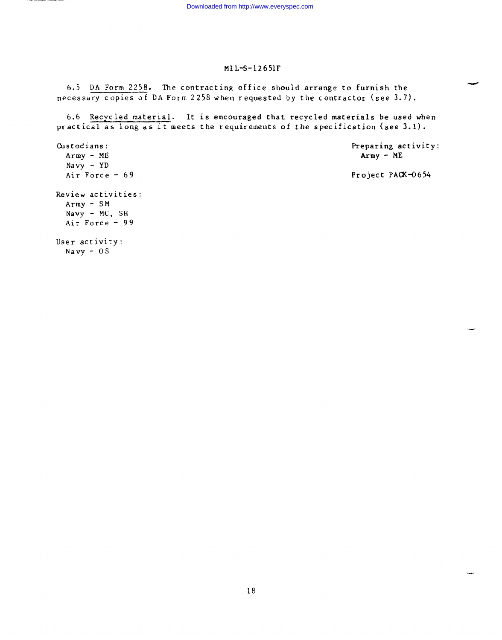b.5 DA Form 2258. 'he contracting office should arrange to furnish the necessary copies of DA Form 2258 when requested by the contractor (see 3.7).

6.6 Recycled material. It is encouraged that recycled materials be used when practical as long as it meets the requirements of the specification (see 3.1).

Custodians: Preparing activity:<br>Army - ME<br>Army - ME  $Array - ME$ Navy - YD<br>Air Force - 69 Project PACK-0654 Review activities: Army - SM Navy - MC, SH Air Force - 99 User activity: Navy - 0s

.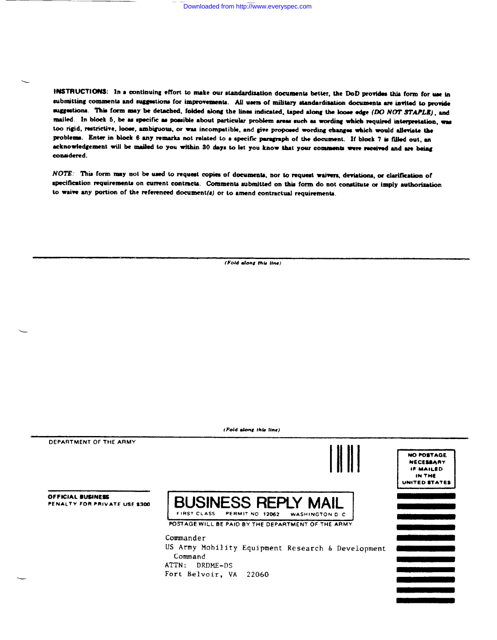INSTRUCTIONS: In a continuing effort to make our standardization documents better, the DoD provides this form for use in submitting comments and suggestions for improvements. All users of military standardisation documents are invited to provide suggestions. This form may be detached, folded along the lines indicated, taped along the loose edge (DO NOT STAPLE), and mailed. In block 5, be as specific as possible about particular problem areas such as wording which required interpretation, was too rigid, restrictive, loose, ambiguous, or was incompetible, and give proposed wording changes which would alleviate the problems. Enter in block 6 any remarks not related to a specific paragraph of the document. If block 7 is filled out, an acknowledgement will be mailed to you within 30 days to let you know that your comments were received and are being considered.

NOTE: This form may not be used to request copies of documents, nor to request waivers, deviations, or clarification of specification requirements on current contracts. Comments submitted on this form do not constitute or imply authorization to waive any portion of the referenced document(s) or to amend contractual requirements.

(Fold along this line)

 $\overline{a}$